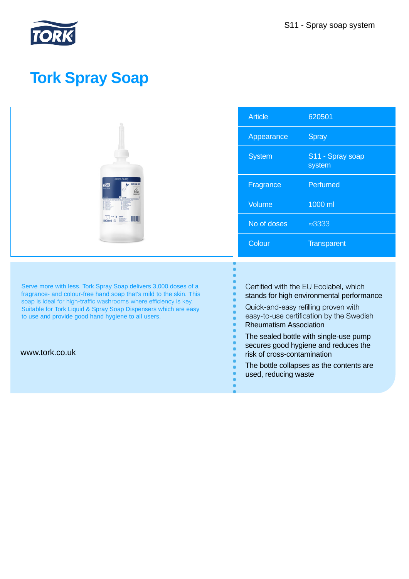

# **Tork Spray Soap**

| <b>TORK</b>                                                                                                                           | <b>Article</b>                                                                                                                                                                                                                                                                                                                                                                               | 620501                     |
|---------------------------------------------------------------------------------------------------------------------------------------|----------------------------------------------------------------------------------------------------------------------------------------------------------------------------------------------------------------------------------------------------------------------------------------------------------------------------------------------------------------------------------------------|----------------------------|
|                                                                                                                                       | Appearance                                                                                                                                                                                                                                                                                                                                                                                   | <b>Spray</b>               |
|                                                                                                                                       | <b>System</b>                                                                                                                                                                                                                                                                                                                                                                                | S11 - Spray soap<br>system |
|                                                                                                                                       | Fragrance                                                                                                                                                                                                                                                                                                                                                                                    | Perfumed                   |
|                                                                                                                                       | Volume                                                                                                                                                                                                                                                                                                                                                                                       | 1000 ml                    |
|                                                                                                                                       | No of doses                                                                                                                                                                                                                                                                                                                                                                                  | $\approx 3333$             |
|                                                                                                                                       | Colour                                                                                                                                                                                                                                                                                                                                                                                       | Transparent                |
|                                                                                                                                       |                                                                                                                                                                                                                                                                                                                                                                                              |                            |
| Serve more with less. Tork Spray Soap delivers 3,000 doses of a<br>fragrance- and colour-free hand soap that's mild to the skin. This | Certified with the EU Ecolabel, which<br>stands for high environmental performance<br>Quick-and-easy refilling proven with<br>easy-to-use certification by the Swedish<br><b>Rheumatism Association</b><br>The sealed bottle with single-use pump<br>secures good hygiene and reduces the<br>risk of cross-contamination<br>The bottle collapses as the contents are<br>used, reducing waste |                            |
| soap is ideal for high-traffic washrooms where efficiency is key.<br>Suitable for Tork Liquid & Spray Soap Dispensers which are easy  |                                                                                                                                                                                                                                                                                                                                                                                              |                            |
| to use and provide good hand hygiene to all users.                                                                                    |                                                                                                                                                                                                                                                                                                                                                                                              |                            |
| www.tork.co.uk                                                                                                                        |                                                                                                                                                                                                                                                                                                                                                                                              |                            |
|                                                                                                                                       |                                                                                                                                                                                                                                                                                                                                                                                              |                            |
|                                                                                                                                       |                                                                                                                                                                                                                                                                                                                                                                                              |                            |